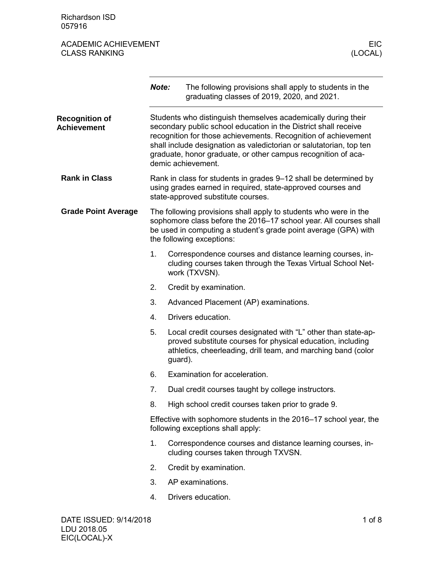Richardson ISD 057916

|                                             | Note: |         | The following provisions shall apply to students in the<br>graduating classes of 2019, 2020, and 2021.                                                                                                                                                                                                                                                           |  |
|---------------------------------------------|-------|---------|------------------------------------------------------------------------------------------------------------------------------------------------------------------------------------------------------------------------------------------------------------------------------------------------------------------------------------------------------------------|--|
| <b>Recognition of</b><br><b>Achievement</b> |       |         | Students who distinguish themselves academically during their<br>secondary public school education in the District shall receive<br>recognition for those achievements. Recognition of achievement<br>shall include designation as valedictorian or salutatorian, top ten<br>graduate, honor graduate, or other campus recognition of aca-<br>demic achievement. |  |
| <b>Rank in Class</b>                        |       |         | Rank in class for students in grades 9-12 shall be determined by<br>using grades earned in required, state-approved courses and<br>state-approved substitute courses.                                                                                                                                                                                            |  |
| <b>Grade Point Average</b>                  |       |         | The following provisions shall apply to students who were in the<br>sophomore class before the 2016-17 school year. All courses shall<br>be used in computing a student's grade point average (GPA) with<br>the following exceptions:                                                                                                                            |  |
|                                             | 1.    |         | Correspondence courses and distance learning courses, in-<br>cluding courses taken through the Texas Virtual School Net-<br>work (TXVSN).                                                                                                                                                                                                                        |  |
|                                             | 2.    |         | Credit by examination.                                                                                                                                                                                                                                                                                                                                           |  |
|                                             | 3.    |         | Advanced Placement (AP) examinations.                                                                                                                                                                                                                                                                                                                            |  |
|                                             | 4.    |         | Drivers education.                                                                                                                                                                                                                                                                                                                                               |  |
|                                             | 5.    | guard). | Local credit courses designated with "L" other than state-ap-<br>proved substitute courses for physical education, including<br>athletics, cheerleading, drill team, and marching band (color                                                                                                                                                                    |  |
|                                             | 6.    |         | Examination for acceleration.                                                                                                                                                                                                                                                                                                                                    |  |
|                                             | 7.    |         | Dual credit courses taught by college instructors.                                                                                                                                                                                                                                                                                                               |  |
|                                             | 8.    |         | High school credit courses taken prior to grade 9.                                                                                                                                                                                                                                                                                                               |  |
|                                             |       |         | Effective with sophomore students in the 2016–17 school year, the<br>following exceptions shall apply:                                                                                                                                                                                                                                                           |  |
|                                             | 1.    |         | Correspondence courses and distance learning courses, in-<br>cluding courses taken through TXVSN.                                                                                                                                                                                                                                                                |  |
|                                             | 2.    |         | Credit by examination.                                                                                                                                                                                                                                                                                                                                           |  |
|                                             | 3.    |         | AP examinations.                                                                                                                                                                                                                                                                                                                                                 |  |
|                                             | 4.    |         | Drivers education.                                                                                                                                                                                                                                                                                                                                               |  |
| DATE ISSUED: 9/14/2018                      |       |         | $1$ of $8$                                                                                                                                                                                                                                                                                                                                                       |  |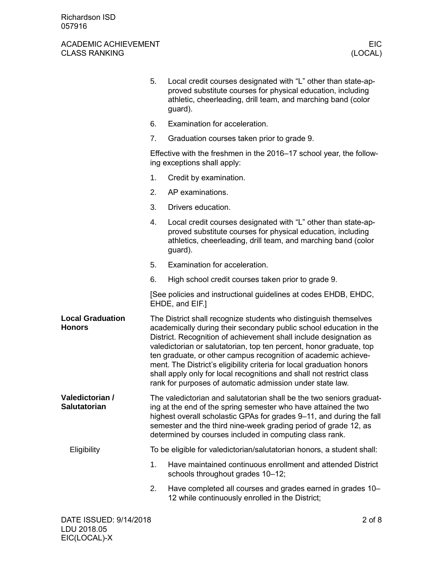|                                          | 5.                                                                                                                                                                                                                                                                                                                                                                                                                                                                                                                                                                 | Local credit courses designated with "L" other than state-ap-<br>proved substitute courses for physical education, including<br>athletic, cheerleading, drill team, and marching band (color<br>guard).  |
|------------------------------------------|--------------------------------------------------------------------------------------------------------------------------------------------------------------------------------------------------------------------------------------------------------------------------------------------------------------------------------------------------------------------------------------------------------------------------------------------------------------------------------------------------------------------------------------------------------------------|----------------------------------------------------------------------------------------------------------------------------------------------------------------------------------------------------------|
|                                          | 6.                                                                                                                                                                                                                                                                                                                                                                                                                                                                                                                                                                 | Examination for acceleration.                                                                                                                                                                            |
|                                          | 7.                                                                                                                                                                                                                                                                                                                                                                                                                                                                                                                                                                 | Graduation courses taken prior to grade 9.                                                                                                                                                               |
|                                          |                                                                                                                                                                                                                                                                                                                                                                                                                                                                                                                                                                    | Effective with the freshmen in the 2016–17 school year, the follow-<br>ing exceptions shall apply:                                                                                                       |
|                                          | 1.                                                                                                                                                                                                                                                                                                                                                                                                                                                                                                                                                                 | Credit by examination.                                                                                                                                                                                   |
|                                          | 2.                                                                                                                                                                                                                                                                                                                                                                                                                                                                                                                                                                 | AP examinations.                                                                                                                                                                                         |
|                                          | 3.                                                                                                                                                                                                                                                                                                                                                                                                                                                                                                                                                                 | Drivers education.                                                                                                                                                                                       |
|                                          | 4.                                                                                                                                                                                                                                                                                                                                                                                                                                                                                                                                                                 | Local credit courses designated with "L" other than state-ap-<br>proved substitute courses for physical education, including<br>athletics, cheerleading, drill team, and marching band (color<br>guard). |
|                                          | 5.                                                                                                                                                                                                                                                                                                                                                                                                                                                                                                                                                                 | Examination for acceleration.                                                                                                                                                                            |
|                                          | 6.                                                                                                                                                                                                                                                                                                                                                                                                                                                                                                                                                                 | High school credit courses taken prior to grade 9.                                                                                                                                                       |
|                                          |                                                                                                                                                                                                                                                                                                                                                                                                                                                                                                                                                                    | [See policies and instructional guidelines at codes EHDB, EHDC,<br>EHDE, and EIF.]                                                                                                                       |
| <b>Local Graduation</b><br><b>Honors</b> | The District shall recognize students who distinguish themselves<br>academically during their secondary public school education in the<br>District. Recognition of achievement shall include designation as<br>valedictorian or salutatorian, top ten percent, honor graduate, top<br>ten graduate, or other campus recognition of academic achieve-<br>ment. The District's eligibility criteria for local graduation honors<br>shall apply only for local recognitions and shall not restrict class<br>rank for purposes of automatic admission under state law. |                                                                                                                                                                                                          |
| Valedictorian /<br><b>Salutatorian</b>   | The valedictorian and salutatorian shall be the two seniors graduat-<br>ing at the end of the spring semester who have attained the two<br>highest overall scholastic GPAs for grades 9-11, and during the fall<br>semester and the third nine-week grading period of grade 12, as<br>determined by courses included in computing class rank.                                                                                                                                                                                                                      |                                                                                                                                                                                                          |
| Eligibility                              |                                                                                                                                                                                                                                                                                                                                                                                                                                                                                                                                                                    | To be eligible for valedictorian/salutatorian honors, a student shall:                                                                                                                                   |
|                                          | 1.                                                                                                                                                                                                                                                                                                                                                                                                                                                                                                                                                                 | Have maintained continuous enrollment and attended District<br>schools throughout grades 10-12;                                                                                                          |
|                                          | 2.                                                                                                                                                                                                                                                                                                                                                                                                                                                                                                                                                                 | Have completed all courses and grades earned in grades 10–<br>12 while continuously enrolled in the District;                                                                                            |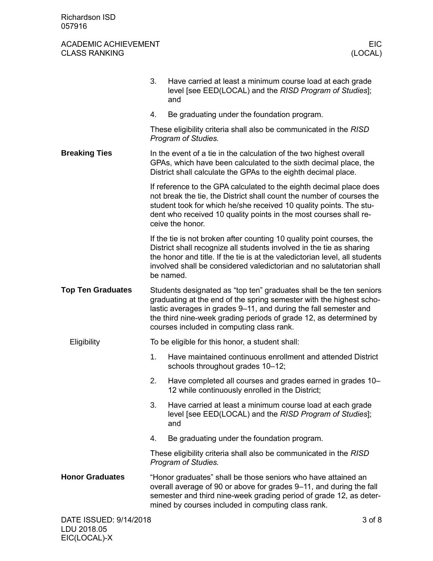|                          | 3.                                                                                                                                                                                                                                                                                                                               | Have carried at least a minimum course load at each grade<br>level [see EED(LOCAL) and the RISD Program of Studies];<br>and                                                                                                                                                                                       |            |
|--------------------------|----------------------------------------------------------------------------------------------------------------------------------------------------------------------------------------------------------------------------------------------------------------------------------------------------------------------------------|-------------------------------------------------------------------------------------------------------------------------------------------------------------------------------------------------------------------------------------------------------------------------------------------------------------------|------------|
|                          | 4.                                                                                                                                                                                                                                                                                                                               | Be graduating under the foundation program.                                                                                                                                                                                                                                                                       |            |
|                          |                                                                                                                                                                                                                                                                                                                                  | These eligibility criteria shall also be communicated in the RISD<br>Program of Studies.                                                                                                                                                                                                                          |            |
| <b>Breaking Ties</b>     | In the event of a tie in the calculation of the two highest overall<br>GPAs, which have been calculated to the sixth decimal place, the<br>District shall calculate the GPAs to the eighth decimal place.                                                                                                                        |                                                                                                                                                                                                                                                                                                                   |            |
|                          |                                                                                                                                                                                                                                                                                                                                  | If reference to the GPA calculated to the eighth decimal place does<br>not break the tie, the District shall count the number of courses the<br>student took for which he/she received 10 quality points. The stu-<br>dent who received 10 quality points in the most courses shall re-<br>ceive the honor.       |            |
|                          |                                                                                                                                                                                                                                                                                                                                  | If the tie is not broken after counting 10 quality point courses, the<br>District shall recognize all students involved in the tie as sharing<br>the honor and title. If the tie is at the valedictorian level, all students<br>involved shall be considered valedictorian and no salutatorian shall<br>be named. |            |
| <b>Top Ten Graduates</b> | Students designated as "top ten" graduates shall be the ten seniors<br>graduating at the end of the spring semester with the highest scho-<br>lastic averages in grades 9–11, and during the fall semester and<br>the third nine-week grading periods of grade 12, as determined by<br>courses included in computing class rank. |                                                                                                                                                                                                                                                                                                                   |            |
| Eligibility              |                                                                                                                                                                                                                                                                                                                                  | To be eligible for this honor, a student shall:                                                                                                                                                                                                                                                                   |            |
|                          | 1.                                                                                                                                                                                                                                                                                                                               | Have maintained continuous enrollment and attended District<br>schools throughout grades 10-12;                                                                                                                                                                                                                   |            |
|                          | 2.                                                                                                                                                                                                                                                                                                                               | Have completed all courses and grades earned in grades 10–<br>12 while continuously enrolled in the District;                                                                                                                                                                                                     |            |
|                          | 3.                                                                                                                                                                                                                                                                                                                               | Have carried at least a minimum course load at each grade<br>level [see EED(LOCAL) and the RISD Program of Studies];<br>and                                                                                                                                                                                       |            |
|                          | 4.                                                                                                                                                                                                                                                                                                                               | Be graduating under the foundation program.                                                                                                                                                                                                                                                                       |            |
|                          |                                                                                                                                                                                                                                                                                                                                  | These eligibility criteria shall also be communicated in the RISD<br>Program of Studies.                                                                                                                                                                                                                          |            |
| <b>Honor Graduates</b>   |                                                                                                                                                                                                                                                                                                                                  | "Honor graduates" shall be those seniors who have attained an<br>overall average of 90 or above for grades 9–11, and during the fall<br>semester and third nine-week grading period of grade 12, as deter-<br>mined by courses included in computing class rank.                                                  |            |
| DATE ISSUED: 9/14/2018   |                                                                                                                                                                                                                                                                                                                                  |                                                                                                                                                                                                                                                                                                                   | $3$ of $8$ |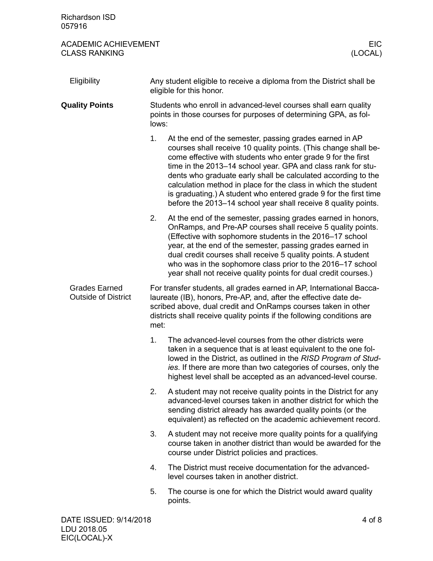| Richardson ISD<br>057916                            |                                                                                                                                                                                                                                                                                             |                                                                                                                                                                                                                                                                                                                                                                                                                                                                                                                                     |  |
|-----------------------------------------------------|---------------------------------------------------------------------------------------------------------------------------------------------------------------------------------------------------------------------------------------------------------------------------------------------|-------------------------------------------------------------------------------------------------------------------------------------------------------------------------------------------------------------------------------------------------------------------------------------------------------------------------------------------------------------------------------------------------------------------------------------------------------------------------------------------------------------------------------------|--|
| <b>ACADEMIC ACHIEVEMENT</b><br><b>CLASS RANKING</b> |                                                                                                                                                                                                                                                                                             | EIC<br>(LOCAL)                                                                                                                                                                                                                                                                                                                                                                                                                                                                                                                      |  |
| Eligibility                                         |                                                                                                                                                                                                                                                                                             | Any student eligible to receive a diploma from the District shall be<br>eligible for this honor.                                                                                                                                                                                                                                                                                                                                                                                                                                    |  |
| <b>Quality Points</b>                               | Students who enroll in advanced-level courses shall earn quality<br>points in those courses for purposes of determining GPA, as fol-<br>lows:                                                                                                                                               |                                                                                                                                                                                                                                                                                                                                                                                                                                                                                                                                     |  |
|                                                     | 1.                                                                                                                                                                                                                                                                                          | At the end of the semester, passing grades earned in AP<br>courses shall receive 10 quality points. (This change shall be-<br>come effective with students who enter grade 9 for the first<br>time in the 2013-14 school year. GPA and class rank for stu-<br>dents who graduate early shall be calculated according to the<br>calculation method in place for the class in which the student<br>is graduating.) A student who entered grade 9 for the first time<br>before the 2013–14 school year shall receive 8 quality points. |  |
|                                                     | 2.                                                                                                                                                                                                                                                                                          | At the end of the semester, passing grades earned in honors,<br>OnRamps, and Pre-AP courses shall receive 5 quality points.<br>(Effective with sophomore students in the 2016-17 school<br>year, at the end of the semester, passing grades earned in<br>dual credit courses shall receive 5 quality points. A student<br>who was in the sophomore class prior to the 2016-17 school<br>year shall not receive quality points for dual credit courses.)                                                                             |  |
| <b>Grades Earned</b><br><b>Outside of District</b>  | For transfer students, all grades earned in AP, International Bacca-<br>laureate (IB), honors, Pre-AP, and, after the effective date de-<br>scribed above, dual credit and OnRamps courses taken in other<br>districts shall receive quality points if the following conditions are<br>met: |                                                                                                                                                                                                                                                                                                                                                                                                                                                                                                                                     |  |
|                                                     | 1.                                                                                                                                                                                                                                                                                          | The advanced-level courses from the other districts were<br>taken in a sequence that is at least equivalent to the one fol-<br>lowed in the District, as outlined in the RISD Program of Stud-<br>ies. If there are more than two categories of courses, only the<br>highest level shall be accepted as an advanced-level course.                                                                                                                                                                                                   |  |
|                                                     | 2.                                                                                                                                                                                                                                                                                          | A student may not receive quality points in the District for any<br>advanced-level courses taken in another district for which the<br>sending district already has awarded quality points (or the<br>equivalent) as reflected on the academic achievement record.                                                                                                                                                                                                                                                                   |  |
|                                                     | 3.                                                                                                                                                                                                                                                                                          | A student may not receive more quality points for a qualifying<br>course taken in another district than would be awarded for the<br>course under District policies and practices.                                                                                                                                                                                                                                                                                                                                                   |  |
|                                                     | 4.                                                                                                                                                                                                                                                                                          | The District must receive documentation for the advanced-<br>level courses taken in another district.                                                                                                                                                                                                                                                                                                                                                                                                                               |  |
|                                                     | 5.                                                                                                                                                                                                                                                                                          | The course is one for which the District would award quality<br>points.                                                                                                                                                                                                                                                                                                                                                                                                                                                             |  |
| DATE ISSUED: 9/14/2018<br>LDU 2018.05               |                                                                                                                                                                                                                                                                                             | 4 of 8                                                                                                                                                                                                                                                                                                                                                                                                                                                                                                                              |  |

EIC(LOCAL)-X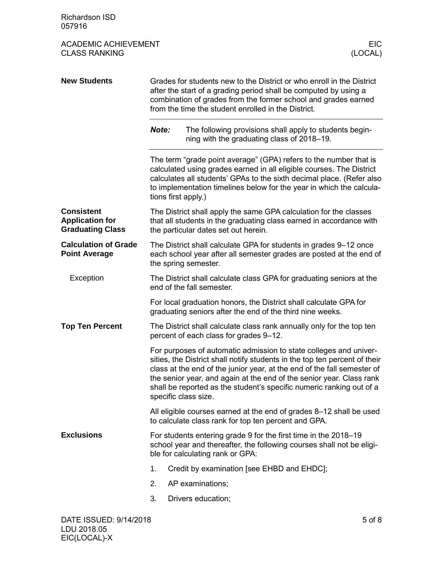| <b>Richardson ISD</b><br>057916                                        |                                                                                                                                                                                                                                                                    |                                                                                                                                                                                                                                                                                                                                                                                                    |  |  |
|------------------------------------------------------------------------|--------------------------------------------------------------------------------------------------------------------------------------------------------------------------------------------------------------------------------------------------------------------|----------------------------------------------------------------------------------------------------------------------------------------------------------------------------------------------------------------------------------------------------------------------------------------------------------------------------------------------------------------------------------------------------|--|--|
| <b>ACADEMIC ACHIEVEMENT</b><br><b>CLASS RANKING</b>                    |                                                                                                                                                                                                                                                                    | EIC.<br>(LOCAL)                                                                                                                                                                                                                                                                                                                                                                                    |  |  |
| <b>New Students</b>                                                    | Grades for students new to the District or who enroll in the District<br>after the start of a grading period shall be computed by using a<br>combination of grades from the former school and grades earned<br>from the time the student enrolled in the District. |                                                                                                                                                                                                                                                                                                                                                                                                    |  |  |
|                                                                        | Note:                                                                                                                                                                                                                                                              | The following provisions shall apply to students begin-<br>ning with the graduating class of 2018–19.                                                                                                                                                                                                                                                                                              |  |  |
|                                                                        |                                                                                                                                                                                                                                                                    | The term "grade point average" (GPA) refers to the number that is<br>calculated using grades earned in all eligible courses. The District<br>calculates all students' GPAs to the sixth decimal place. (Refer also<br>to implementation timelines below for the year in which the calcula-<br>tions first apply.)                                                                                  |  |  |
| <b>Consistent</b><br><b>Application for</b><br><b>Graduating Class</b> |                                                                                                                                                                                                                                                                    | The District shall apply the same GPA calculation for the classes<br>that all students in the graduating class earned in accordance with<br>the particular dates set out herein.                                                                                                                                                                                                                   |  |  |
| <b>Calculation of Grade</b><br><b>Point Average</b>                    |                                                                                                                                                                                                                                                                    | The District shall calculate GPA for students in grades 9–12 once<br>each school year after all semester grades are posted at the end of<br>the spring semester.                                                                                                                                                                                                                                   |  |  |
| Exception                                                              |                                                                                                                                                                                                                                                                    | The District shall calculate class GPA for graduating seniors at the<br>end of the fall semester.                                                                                                                                                                                                                                                                                                  |  |  |
|                                                                        |                                                                                                                                                                                                                                                                    | For local graduation honors, the District shall calculate GPA for<br>graduating seniors after the end of the third nine weeks.                                                                                                                                                                                                                                                                     |  |  |
| <b>Top Ten Percent</b>                                                 | The District shall calculate class rank annually only for the top ten<br>percent of each class for grades 9-12.                                                                                                                                                    |                                                                                                                                                                                                                                                                                                                                                                                                    |  |  |
|                                                                        |                                                                                                                                                                                                                                                                    | For purposes of automatic admission to state colleges and univer-<br>sities, the District shall notify students in the top ten percent of their<br>class at the end of the junior year, at the end of the fall semester of<br>the senior year, and again at the end of the senior year. Class rank<br>shall be reported as the student's specific numeric ranking out of a<br>specific class size. |  |  |
|                                                                        |                                                                                                                                                                                                                                                                    | All eligible courses earned at the end of grades 8-12 shall be used<br>to calculate class rank for top ten percent and GPA.                                                                                                                                                                                                                                                                        |  |  |
| <b>Exclusions</b>                                                      | For students entering grade 9 for the first time in the 2018–19<br>school year and thereafter, the following courses shall not be eligi-<br>ble for calculating rank or GPA:                                                                                       |                                                                                                                                                                                                                                                                                                                                                                                                    |  |  |
|                                                                        | 1.                                                                                                                                                                                                                                                                 | Credit by examination [see EHBD and EHDC];                                                                                                                                                                                                                                                                                                                                                         |  |  |
|                                                                        | 2.                                                                                                                                                                                                                                                                 | AP examinations;                                                                                                                                                                                                                                                                                                                                                                                   |  |  |
|                                                                        | 3.                                                                                                                                                                                                                                                                 | Drivers education;                                                                                                                                                                                                                                                                                                                                                                                 |  |  |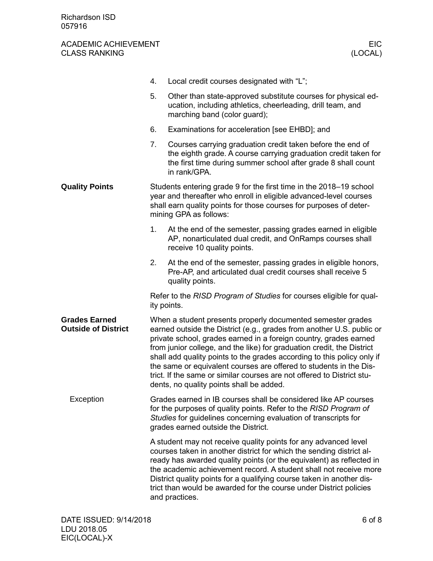|                                                    | 4. | Local credit courses designated with "L";                                                                                                                                                                                                                                                                                                                                                                                                                                                                                                                  |  |  |
|----------------------------------------------------|----|------------------------------------------------------------------------------------------------------------------------------------------------------------------------------------------------------------------------------------------------------------------------------------------------------------------------------------------------------------------------------------------------------------------------------------------------------------------------------------------------------------------------------------------------------------|--|--|
|                                                    | 5. | Other than state-approved substitute courses for physical ed-<br>ucation, including athletics, cheerleading, drill team, and<br>marching band (color guard);                                                                                                                                                                                                                                                                                                                                                                                               |  |  |
|                                                    | 6. | Examinations for acceleration [see EHBD]; and                                                                                                                                                                                                                                                                                                                                                                                                                                                                                                              |  |  |
|                                                    | 7. | Courses carrying graduation credit taken before the end of<br>the eighth grade. A course carrying graduation credit taken for<br>the first time during summer school after grade 8 shall count<br>in rank/GPA.                                                                                                                                                                                                                                                                                                                                             |  |  |
| <b>Quality Points</b>                              |    | Students entering grade 9 for the first time in the 2018–19 school<br>year and thereafter who enroll in eligible advanced-level courses<br>shall earn quality points for those courses for purposes of deter-<br>mining GPA as follows:                                                                                                                                                                                                                                                                                                                    |  |  |
|                                                    | 1. | At the end of the semester, passing grades earned in eligible<br>AP, nonarticulated dual credit, and OnRamps courses shall<br>receive 10 quality points.                                                                                                                                                                                                                                                                                                                                                                                                   |  |  |
|                                                    | 2. | At the end of the semester, passing grades in eligible honors,<br>Pre-AP, and articulated dual credit courses shall receive 5<br>quality points.                                                                                                                                                                                                                                                                                                                                                                                                           |  |  |
|                                                    |    | Refer to the RISD Program of Studies for courses eligible for qual-<br>ity points.                                                                                                                                                                                                                                                                                                                                                                                                                                                                         |  |  |
| <b>Grades Earned</b><br><b>Outside of District</b> |    | When a student presents properly documented semester grades<br>earned outside the District (e.g., grades from another U.S. public or<br>private school, grades earned in a foreign country, grades earned<br>from junior college, and the like) for graduation credit, the District<br>shall add quality points to the grades according to this policy only if<br>the same or equivalent courses are offered to students in the Dis-<br>trict. If the same or similar courses are not offered to District stu-<br>dents, no quality points shall be added. |  |  |
| Exception                                          |    | Grades earned in IB courses shall be considered like AP courses<br>for the purposes of quality points. Refer to the RISD Program of<br>Studies for guidelines concerning evaluation of transcripts for<br>grades earned outside the District.                                                                                                                                                                                                                                                                                                              |  |  |
|                                                    |    | A student may not receive quality points for any advanced level<br>courses taken in another district for which the sending district al-<br>ready has awarded quality points (or the equivalent) as reflected in<br>the academic achievement record. A student shall not receive more<br>District quality points for a qualifying course taken in another dis-<br>trict than would be awarded for the course under District policies<br>and practices.                                                                                                      |  |  |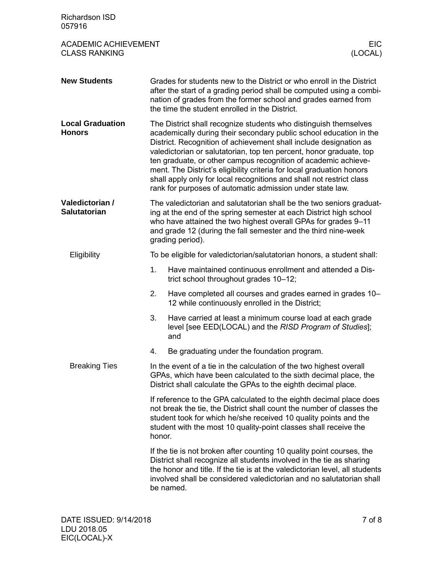| <b>Richardson ISD</b><br>057916                     |                                                                                                                                                                                                                                                                                                                   |                                                                                                                                                                                                                                                                                                                                                                                                                                                                                                                                                                    |  |  |
|-----------------------------------------------------|-------------------------------------------------------------------------------------------------------------------------------------------------------------------------------------------------------------------------------------------------------------------------------------------------------------------|--------------------------------------------------------------------------------------------------------------------------------------------------------------------------------------------------------------------------------------------------------------------------------------------------------------------------------------------------------------------------------------------------------------------------------------------------------------------------------------------------------------------------------------------------------------------|--|--|
| <b>ACADEMIC ACHIEVEMENT</b><br><b>CLASS RANKING</b> |                                                                                                                                                                                                                                                                                                                   | <b>EIC</b><br>(LOCAL)                                                                                                                                                                                                                                                                                                                                                                                                                                                                                                                                              |  |  |
| <b>New Students</b>                                 |                                                                                                                                                                                                                                                                                                                   | Grades for students new to the District or who enroll in the District<br>after the start of a grading period shall be computed using a combi-<br>nation of grades from the former school and grades earned from<br>the time the student enrolled in the District.                                                                                                                                                                                                                                                                                                  |  |  |
| <b>Local Graduation</b><br><b>Honors</b>            |                                                                                                                                                                                                                                                                                                                   | The District shall recognize students who distinguish themselves<br>academically during their secondary public school education in the<br>District. Recognition of achievement shall include designation as<br>valedictorian or salutatorian, top ten percent, honor graduate, top<br>ten graduate, or other campus recognition of academic achieve-<br>ment. The District's eligibility criteria for local graduation honors<br>shall apply only for local recognitions and shall not restrict class<br>rank for purposes of automatic admission under state law. |  |  |
| Valedictorian /<br><b>Salutatorian</b>              | The valedictorian and salutatorian shall be the two seniors graduat-<br>ing at the end of the spring semester at each District high school<br>who have attained the two highest overall GPAs for grades 9-11<br>and grade 12 (during the fall semester and the third nine-week<br>grading period).                |                                                                                                                                                                                                                                                                                                                                                                                                                                                                                                                                                                    |  |  |
| Eligibility                                         |                                                                                                                                                                                                                                                                                                                   | To be eligible for valedictorian/salutatorian honors, a student shall:                                                                                                                                                                                                                                                                                                                                                                                                                                                                                             |  |  |
|                                                     | 1 <sub>1</sub>                                                                                                                                                                                                                                                                                                    | Have maintained continuous enrollment and attended a Dis-<br>trict school throughout grades 10-12;                                                                                                                                                                                                                                                                                                                                                                                                                                                                 |  |  |
|                                                     | 2.                                                                                                                                                                                                                                                                                                                | Have completed all courses and grades earned in grades 10–<br>12 while continuously enrolled in the District;                                                                                                                                                                                                                                                                                                                                                                                                                                                      |  |  |
|                                                     | 3.                                                                                                                                                                                                                                                                                                                | Have carried at least a minimum course load at each grade<br>level [see EED(LOCAL) and the RISD Program of Studies];<br>and                                                                                                                                                                                                                                                                                                                                                                                                                                        |  |  |
|                                                     | 4.                                                                                                                                                                                                                                                                                                                | Be graduating under the foundation program.                                                                                                                                                                                                                                                                                                                                                                                                                                                                                                                        |  |  |
| <b>Breaking Ties</b>                                | In the event of a tie in the calculation of the two highest overall<br>GPAs, which have been calculated to the sixth decimal place, the<br>District shall calculate the GPAs to the eighth decimal place.                                                                                                         |                                                                                                                                                                                                                                                                                                                                                                                                                                                                                                                                                                    |  |  |
|                                                     | If reference to the GPA calculated to the eighth decimal place does<br>not break the tie, the District shall count the number of classes the<br>student took for which he/she received 10 quality points and the<br>student with the most 10 quality-point classes shall receive the<br>honor.                    |                                                                                                                                                                                                                                                                                                                                                                                                                                                                                                                                                                    |  |  |
|                                                     | If the tie is not broken after counting 10 quality point courses, the<br>District shall recognize all students involved in the tie as sharing<br>the honor and title. If the tie is at the valedictorian level, all students<br>involved shall be considered valedictorian and no salutatorian shall<br>be named. |                                                                                                                                                                                                                                                                                                                                                                                                                                                                                                                                                                    |  |  |